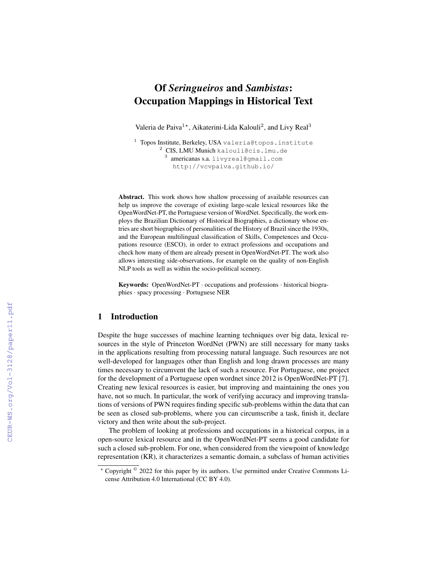# Of *Seringueiros* and *Sambistas*: Occupation Mappings in Historical Text

Valeria de Paiva<sup>1\*</sup>, Aikaterini-Lida Kalouli<sup>2</sup>, and Livy Real<sup>3</sup>

<sup>1</sup> Topos Institute, Berkeley, USA valeria@topos.institute <sup>2</sup> CIS, LMU Munich kalouli@cis.lmu.de 3 americanas s.a. livyreal@gmail.com http://vcvpaiva.github.io/

Abstract. This work shows how shallow processing of available resources can help us improve the coverage of existing large-scale lexical resources like the OpenWordNet-PT, the Portuguese version of WordNet. Specifically, the work employs the Brazilian Dictionary of Historical Biographies, a dictionary whose entries are short biographies of personalities of the History of Brazil since the 1930s, and the European multilingual classification of Skills, Competences and Occupations resource (ESCO), in order to extract professions and occupations and check how many of them are already present in OpenWordNet-PT. The work also allows interesting side-observations, for example on the quality of non-English NLP tools as well as within the socio-political scenery.

Keywords: OpenWordNet-PT · occupations and professions · historical biographies · spacy processing · Portuguese NER

# 1 Introduction

Despite the huge successes of machine learning techniques over big data, lexical resources in the style of Princeton WordNet (PWN) are still necessary for many tasks in the applications resulting from processing natural language. Such resources are not well-developed for languages other than English and long drawn processes are many times necessary to circumvent the lack of such a resource. For Portuguese, one project for the development of a Portuguese open wordnet since 2012 is OpenWordNet-PT [7]. Creating new lexical resources is easier, but improving and maintaining the ones you have, not so much. In particular, the work of verifying accuracy and improving translations of versions of PWN requires finding specific sub-problems within the data that can be seen as closed sub-problems, where you can circumscribe a task, finish it, declare victory and then write about the sub-project.

The problem of looking at professions and occupations in a historical corpus, in a open-source lexical resource and in the OpenWordNet-PT seems a good candidate for such a closed sub-problem. For one, when considered from the viewpoint of knowledge representation (KR), it characterizes a semantic domain, a subclass of human activities

<sup>\*</sup> Copyright <sup>©</sup> 2022 for this paper by its authors. Use permitted under Creative Commons License Attribution 4.0 International (CC BY 4.0).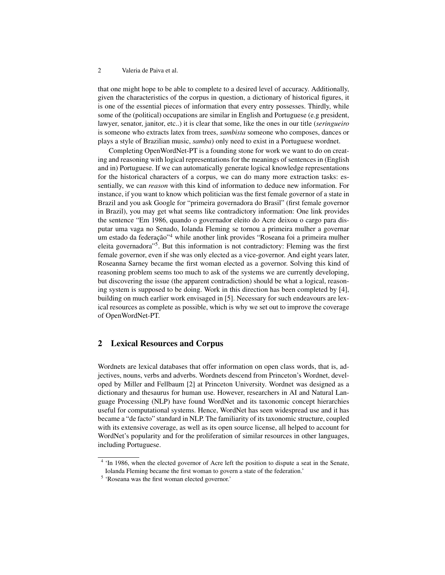that one might hope to be able to complete to a desired level of accuracy. Additionally, given the characteristics of the corpus in question, a dictionary of historical figures, it is one of the essential pieces of information that every entry possesses. Thirdly, while some of the (political) occupations are similar in English and Portuguese (e.g president, lawyer, senator, janitor, etc..) it is clear that some, like the ones in our title (*seringueiro* is someone who extracts latex from trees, *sambista* someone who composes, dances or plays a style of Brazilian music, *samba*) only need to exist in a Portuguese wordnet.

Completing OpenWordNet-PT is a founding stone for work we want to do on creating and reasoning with logical representations for the meanings of sentences in (English and in) Portuguese. If we can automatically generate logical knowledge representations for the historical characters of a corpus, we can do many more extraction tasks: essentially, we can *reason* with this kind of information to deduce new information. For instance, if you want to know which politician was the first female governor of a state in Brazil and you ask Google for "primeira governadora do Brasil" (first female governor in Brazil), you may get what seems like contradictory information: One link provides the sentence "Em 1986, quando o governador eleito do Acre deixou o cargo para disputar uma vaga no Senado, Iolanda Fleming se tornou a primeira mulher a governar um estado da federação"<sup>4</sup> while another link provides "Roseana foi a primeira mulher eleita governadora"<sup>5</sup>. But this information is not contradictory: Fleming was the first female governor, even if she was only elected as a vice-governor. And eight years later, Roseanna Sarney became the first woman elected as a governor. Solving this kind of reasoning problem seems too much to ask of the systems we are currently developing, but discovering the issue (the apparent contradiction) should be what a logical, reasoning system is supposed to be doing. Work in this direction has been completed by [4], building on much earlier work envisaged in [5]. Necessary for such endeavours are lexical resources as complete as possible, which is why we set out to improve the coverage of OpenWordNet-PT.

# 2 Lexical Resources and Corpus

Wordnets are lexical databases that offer information on open class words, that is, adjectives, nouns, verbs and adverbs. Wordnets descend from Princeton's Wordnet, developed by Miller and Fellbaum [2] at Princeton University. Wordnet was designed as a dictionary and thesaurus for human use. However, researchers in AI and Natural Language Processing (NLP) have found WordNet and its taxonomic concept hierarchies useful for computational systems. Hence, WordNet has seen widespread use and it has became a "de facto" standard in NLP. The familiarity of its taxonomic structure, coupled with its extensive coverage, as well as its open source license, all helped to account for WordNet's popularity and for the proliferation of similar resources in other languages, including Portuguese.

<sup>&</sup>lt;sup>4</sup> 'In 1986, when the elected governor of Acre left the position to dispute a seat in the Senate, Iolanda Fleming became the first woman to govern a state of the federation.'

<sup>5</sup> 'Roseana was the first woman elected governor.'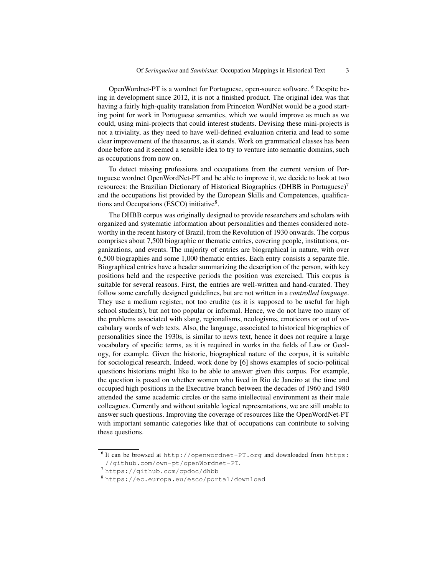OpenWordnet-PT is a wordnet for Portuguese, open-source software. <sup>6</sup> Despite being in development since 2012, it is not a finished product. The original idea was that having a fairly high-quality translation from Princeton WordNet would be a good starting point for work in Portuguese semantics, which we would improve as much as we could, using mini-projects that could interest students. Devising these mini-projects is not a triviality, as they need to have well-defined evaluation criteria and lead to some clear improvement of the thesaurus, as it stands. Work on grammatical classes has been done before and it seemed a sensible idea to try to venture into semantic domains, such as occupations from now on.

To detect missing professions and occupations from the current version of Portuguese wordnet OpenWordNet-PT and be able to improve it, we decide to look at two resources: the Brazilian Dictionary of Historical Biographies (DHBB in Portuguese)<sup>7</sup> and the occupations list provided by the European Skills and Competences, qualifications and Occupations (ESCO) initiative<sup>8</sup>.

The DHBB corpus was originally designed to provide researchers and scholars with organized and systematic information about personalities and themes considered noteworthy in the recent history of Brazil, from the Revolution of 1930 onwards. The corpus comprises about 7,500 biographic or thematic entries, covering people, institutions, organizations, and events. The majority of entries are biographical in nature, with over 6,500 biographies and some 1,000 thematic entries. Each entry consists a separate file. Biographical entries have a header summarizing the description of the person, with key positions held and the respective periods the position was exercised. This corpus is suitable for several reasons. First, the entries are well-written and hand-curated. They follow some carefully designed guidelines, but are not written in a *controlled language*. They use a medium register, not too erudite (as it is supposed to be useful for high school students), but not too popular or informal. Hence, we do not have too many of the problems associated with slang, regionalisms, neologisms, emoticons or out of vocabulary words of web texts. Also, the language, associated to historical biographies of personalities since the 1930s, is similar to news text, hence it does not require a large vocabulary of specific terms, as it is required in works in the fields of Law or Geology, for example. Given the historic, biographical nature of the corpus, it is suitable for sociological research. Indeed, work done by [6] shows examples of socio-political questions historians might like to be able to answer given this corpus. For example, the question is posed on whether women who lived in Rio de Janeiro at the time and occupied high positions in the Executive branch between the decades of 1960 and 1980 attended the same academic circles or the same intellectual environment as their male colleagues. Currently and without suitable logical representations, we are still unable to answer such questions. Improving the coverage of resources like the OpenWordNet-PT with important semantic categories like that of occupations can contribute to solving these questions.

 $^6$  It can be browsed at http://openwordnet-PT.org and downloaded from https: //github.com/own-pt/openWordnet-PT.

<sup>7</sup> https://github.com/cpdoc/dhbb

<sup>8</sup> https://ec.europa.eu/esco/portal/download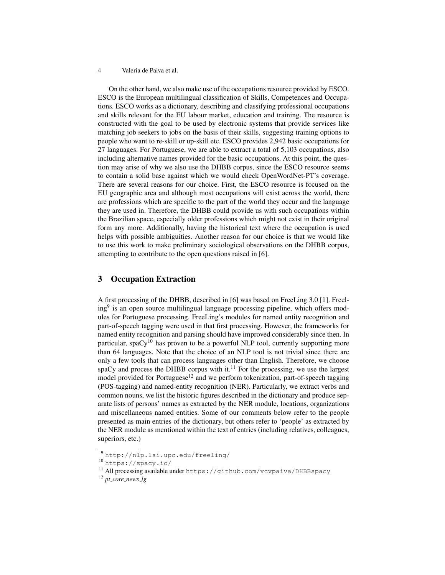On the other hand, we also make use of the occupations resource provided by ESCO. ESCO is the European multilingual classification of Skills, Competences and Occupations. ESCO works as a dictionary, describing and classifying professional occupations and skills relevant for the EU labour market, education and training. The resource is constructed with the goal to be used by electronic systems that provide services like matching job seekers to jobs on the basis of their skills, suggesting training options to people who want to re-skill or up-skill etc. ESCO provides 2,942 basic occupations for 27 languages. For Portuguese, we are able to extract a total of 5,103 occupations, also including alternative names provided for the basic occupations. At this point, the question may arise of why we also use the DHBB corpus, since the ESCO resource seems to contain a solid base against which we would check OpenWordNet-PT's coverage. There are several reasons for our choice. First, the ESCO resource is focused on the EU geographic area and although most occupations will exist across the world, there are professions which are specific to the part of the world they occur and the language they are used in. Therefore, the DHBB could provide us with such occupations within the Brazilian space, especially older professions which might not exist in their original form any more. Additionally, having the historical text where the occupation is used helps with possible ambiguities. Another reason for our choice is that we would like to use this work to make preliminary sociological observations on the DHBB corpus, attempting to contribute to the open questions raised in [6].

## 3 Occupation Extraction

A first processing of the DHBB, described in [6] was based on FreeLing 3.0 [1]. Freeling<sup>9</sup> is an open source multilingual language processing pipeline, which offers modules for Portuguese processing. FreeLing's modules for named entity recognition and part-of-speech tagging were used in that first processing. However, the frameworks for named entity recognition and parsing should have improved considerably since then. In particular, spa $Cy^{10}$  has proven to be a powerful NLP tool, currently supporting more than 64 languages. Note that the choice of an NLP tool is not trivial since there are only a few tools that can process languages other than English. Therefore, we choose spaCy and process the DHBB corpus with it.<sup>11</sup> For the processing, we use the largest model provided for Portuguese<sup>12</sup> and we perform tokenization, part-of-speech tagging (POS-tagging) and named-entity recognition (NER). Particularly, we extract verbs and common nouns, we list the historic figures described in the dictionary and produce separate lists of persons' names as extracted by the NER module, locations, organizations and miscellaneous named entities. Some of our comments below refer to the people presented as main entries of the dictionary, but others refer to 'people' as extracted by the NER module as mentioned within the text of entries (including relatives, colleagues, superiors, etc.)

<sup>9</sup> http://nlp.lsi.upc.edu/freeling/

<sup>10</sup> https://spacy.io/

<sup>11</sup> All processing available under https://github.com/vcvpaiva/DHBBspacy

<sup>12</sup> *pt core news lg*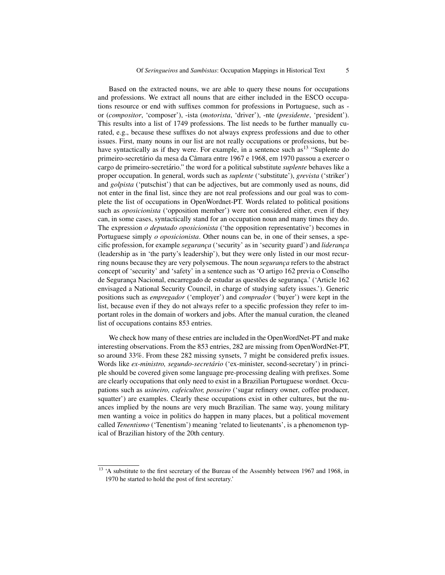Based on the extracted nouns, we are able to query these nouns for occupations and professions. We extract all nouns that are either included in the ESCO occupations resource or end with suffixes common for professions in Portuguese, such as or (*compositor*, 'composer'), -ista (*motorista*, 'driver'), -nte (*presidente*, 'president'). This results into a list of 1749 professions. The list needs to be further manually curated, e.g., because these suffixes do not always express professions and due to other issues. First, many nouns in our list are not really occupations or professions, but behave syntactically as if they were. For example, in a sentence such as <sup>13</sup> "Suplente do primeiro-secretário da mesa da Câmara entre 1967 e 1968, em 1970 passou a exercer o cargo de primeiro-secretário." the word for a political substitute *suplente* behaves like a proper occupation. In general, words such as *suplente* ('substitute'), *grevista* ('striker') and *golpista* ('putschist') that can be adjectives, but are commonly used as nouns, did not enter in the final list, since they are not real professions and our goal was to complete the list of occupations in OpenWordnet-PT. Words related to political positions such as *oposicionista* ('opposition member') were not considered either, even if they can, in some cases, syntactically stand for an occupation noun and many times they do. The expression *o deputado oposicionista* ('the opposition representative') becomes in Portuguese simply *o oposicionista*. Other nouns can be, in one of their senses, a specific profession, for example *segurança* ('security' as in 'security guard') and *liderança* (leadership as in 'the party's leadership'), but they were only listed in our most recurring nouns because they are very polysemous. The noun *segurança* refers to the abstract concept of 'security' and 'safety' in a sentence such as 'O artigo 162 previa o Conselho de Segurança Nacional, encarregado de estudar as questões de segurança.' ('Article 162 envisaged a National Security Council, in charge of studying safety issues.'). Generic positions such as *empregador* ('employer') and *comprador* ('buyer') were kept in the list, because even if they do not always refer to a specific profession they refer to important roles in the domain of workers and jobs. After the manual curation, the cleaned list of occupations contains 853 entries.

We check how many of these entries are included in the OpenWordNet-PT and make interesting observations. From the 853 entries, 282 are missing from OpenWordNet-PT, so around 33%. From these 282 missing synsets, 7 might be considered prefix issues. Words like *ex-ministro, segundo-secretario ´* ('ex-minister, second-secretary') in principle should be covered given some language pre-processing dealing with prefixes. Some are clearly occupations that only need to exist in a Brazilian Portuguese wordnet. Occupations such as *usineiro, cafeicultor, posseiro* ('sugar refinery owner, coffee producer, squatter') are examples. Clearly these occupations exist in other cultures, but the nuances implied by the nouns are very much Brazilian. The same way, young military men wanting a voice in politics do happen in many places, but a political movement called *Tenentismo* ('Tenentism') meaning 'related to lieutenants', is a phenomenon typical of Brazilian history of the 20th century.

<sup>&</sup>lt;sup>13</sup> 'A substitute to the first secretary of the Bureau of the Assembly between 1967 and 1968, in 1970 he started to hold the post of first secretary.'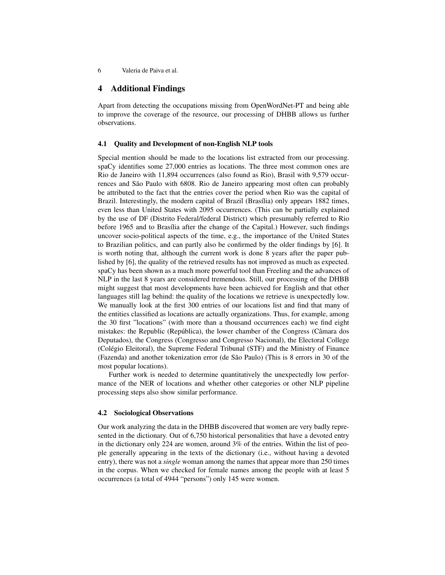## 4 Additional Findings

Apart from detecting the occupations missing from OpenWordNet-PT and being able to improve the coverage of the resource, our processing of DHBB allows us further observations.

### 4.1 Quality and Development of non-English NLP tools

Special mention should be made to the locations list extracted from our processing. spaCy identifies some 27,000 entries as locations. The three most common ones are Rio de Janeiro with 11,894 occurrences (also found as Rio), Brasil with 9,579 occurrences and São Paulo with 6808. Rio de Janeiro appearing most often can probably be attributed to the fact that the entries cover the period when Rio was the capital of Brazil. Interestingly, the modern capital of Brazil (Brasília) only appears 1882 times, even less than United States with 2095 occurrences. (This can be partially explained by the use of DF (Distrito Federal/federal District) which presumably referred to Rio before 1965 and to Brasília after the change of the Capital.) However, such findings uncover socio-political aspects of the time, e.g., the importance of the United States to Brazilian politics, and can partly also be confirmed by the older findings by [6]. It is worth noting that, although the current work is done 8 years after the paper published by [6], the quality of the retrieved results has not improved as much as expected. spaCy has been shown as a much more powerful tool than Freeling and the advances of NLP in the last 8 years are considered tremendous. Still, our processing of the DHBB might suggest that most developments have been achieved for English and that other languages still lag behind: the quality of the locations we retrieve is unexpectedly low. We manually look at the first 300 entries of our locations list and find that many of the entities classified as locations are actually organizations. Thus, for example, among the 30 first "locations" (with more than a thousand occurrences each) we find eight mistakes: the Republic (República), the lower chamber of the Congress (Câmara dos Deputados), the Congress (Congresso and Congresso Nacional), the Electoral College (Colegio Eleitoral), the Supreme Federal Tribunal (STF) and the Ministry of Finance ´ (Fazenda) and another tokenization error (de São Paulo) (This is 8 errors in 30 of the most popular locations).

Further work is needed to determine quantitatively the unexpectedly low performance of the NER of locations and whether other categories or other NLP pipeline processing steps also show similar performance.

### 4.2 Sociological Observations

Our work analyzing the data in the DHBB discovered that women are very badly represented in the dictionary. Out of 6,750 historical personalities that have a devoted entry in the dictionary only 224 are women, around 3% of the entries. Within the list of people generally appearing in the texts of the dictionary (i.e., without having a devoted entry), there was not a *single* woman among the names that appear more than 250 times in the corpus. When we checked for female names among the people with at least 5 occurrences (a total of 4944 "persons") only 145 were women.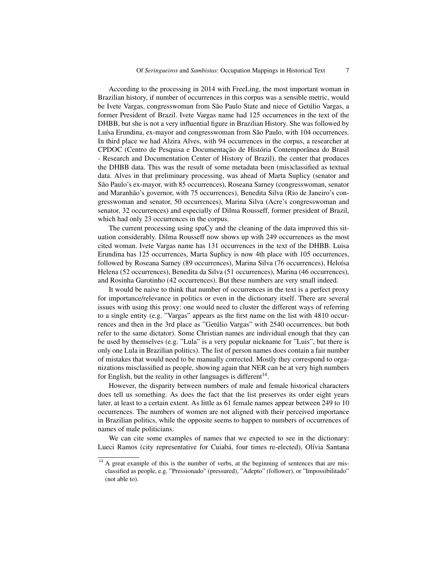According to the processing in 2014 with FreeLing, the most important woman in Brazilian history, if number of occurrences in this corpus was a sensible metric, would be Ivete Vargas, congresswoman from São Paulo State and niece of Getúlio Vargas, a former President of Brazil. Ivete Vargas name had 125 occurrences in the text of the DHBB, but she is not a very influential figure in Brazilian History. She was followed by Luísa Erundina, ex-mayor and congresswoman from São Paulo, with 104 occurrences. In third place we had Alzira Alves, with 94 occurrences in the corpus, a researcher at CPDOC (Centro de Pesquisa e Documentação de História Contemporânea do Brasil - Research and Documentation Center of History of Brazil), the center that produces the DHBB data. This was the result of some metadata been (mis)classified as textual data. Alves in that preliminary processing, was ahead of Marta Suplicy (senator and São Paulo's ex-mayor, with 85 occurrences), Roseana Sarney (congresswoman, senator and Maranhão's governor, with 75 occurrences), Benedita Silva (Rio de Janeiro's congresswoman and senator, 50 occurrences), Marina Silva (Acre's congresswoman and senator, 32 occurrences) and especially of Dilma Rousseff, former president of Brazil, which had only 23 occurrences in the corpus.

The current processing using spaCy and the cleaning of the data improved this situation considerably. Dilma Rousseff now shows up with 249 occurrences as the most cited woman. Ivete Vargas name has 131 occurrences in the text of the DHBB. Luisa Erundina has 125 occurrences, Marta Suplicy is now 4th place with 105 occurrences, followed by Roseana Sarney (89 occurrences), Marina Silva (76 occurrences), Heloísa Helena (52 occurrences), Benedita da Silva (51 occurrences), Marina (46 occurrences), and Rosinha Garotinho (42 occurrences). But these numbers are very small indeed.

It would be naive to think that number of occurrences in the text is a perfect proxy for importance/relevance in politics or even in the dictionary itself. There are several issues with using this proxy: one would need to cluster the different ways of referring to a single entity (e.g. "Vargas" appears as the first name on the list with 4810 occurrences and then in the 3rd place as "Getúlio Vargas" with 2540 occurrences, but both refer to the same dictator). Some Christian names are individual enough that they can be used by themselves (e.g. "Lula" is a very popular nickname for "Luis", but there is only one Lula in Brazilian politics). The list of person names does contain a fair number of mistakes that would need to be manually corrected. Mostly they correspond to organizations misclassified as people, showing again that NER can be at very high numbers for English, but the reality in other languages is different $14$ .

However, the disparity between numbers of male and female historical characters does tell us something. As does the fact that the list preserves its order eight years later, at least to a certain extent. As little as 61 female names appear between 249 to 10 occurrences. The numbers of women are not aligned with their perceived importance in Brazilian politics, while the opposite seems to happen to numbers of occurrences of names of male politicians.

We can cite some examples of names that we expected to see in the dictionary: Lueci Ramos (city representative for Cuiabá, four times re-elected), Olívia Santana

<sup>&</sup>lt;sup>14</sup> A great example of this is the number of verbs, at the beginning of sentences that are misclassified as people, e.g. "Pressionado" (pressured), "Adepto" (follower), or "Impossibilitado" (not able to).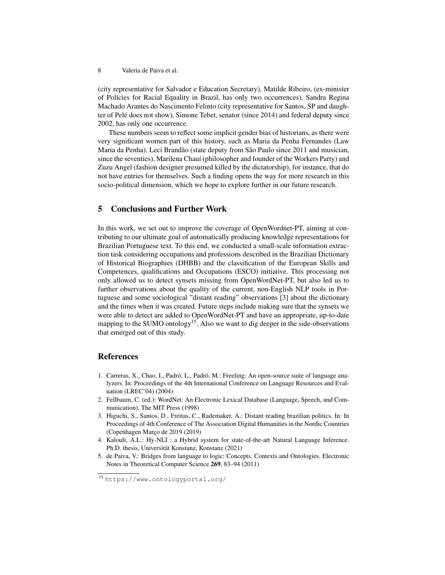(city representative for Salvador e Education Secretary), Matilde Ribeiro, (ex-minister of Pol´ıcies for Racial Equality in Brazil, has only two occurrences), Sandra Regina Machado Arantes do Nascimento Felinto (city representative for Santos, SP and daughter of Pelé does not show), Simone Tebet, senator (since 2014) and federal deputy since 2002, has only one occurrence.

These numbers seem to reflect some implicit gender bias of historians, as there were very significant women part of this history, such as Maria da Penha Fernandes (Law Maria da Penha), Leci Brandão (state deputy from São Paulo since 2011 and musician, since the seventies), Marilena Chauí (philosopher and founder of the Workers Party) and Zuzu Angel (fashion designer presumed killed by the dictatorship), for instance, that do not have entries for themselves. Such a finding opens the way for more research in this socio-political dimension, which we hope to explore further in our future research.

## 5 Conclusions and Further Work

In this work, we set out to improve the coverage of OpenWordnet-PT, aiming at contributing to our ultimate goal of automatically producing knowledge representations for Brazilian Portuguese text. To this end, we conducted a small-scale information extraction task considering occupations and professions described in the Brazilian Dictionary of Historical Biographies (DHBB) and the classification of the European Skills and Competences, qualifications and Occupations (ESCO) initiative. This processing not only allowed us to detect synsets missing from OpenWordNet-PT, but also led us to further observations about the quality of the current, non-English NLP tools in Portuguese and some sociological "distant reading" observations [3] about the dictionary and the times when it was created. Future steps include making sure that the synsets we were able to detect are added to OpenWordNet-PT and have an appropriate, up-to-date mapping to the SUMO ontology<sup>15</sup>. Also we want to dig deeper in the side-observations that emerged out of this study.

## References

- 1. Carreras, X., Chao, I., Padró, L., Padró, M.: Freeling: An open-source suite of language analyzers. In: Proceedings of the 4th International Conference on Language Resources and Evaluation (LREC'04) (2004)
- 2. Fellbaum, C. (ed.): WordNet: An Electronic Lexical Database (Language, Speech, and Communication). The MIT Press (1998)
- 3. Higuchi, S., Santos, D., Freitas, C., Rademaker, A.: Distant reading brazilian politics. In: In Proceedings of 4th Conference of The Association Digital Humanities in the Nordic Countries (Copenhagen Marc¸o de 2019 (2019)
- 4. Kalouli, A.L.: Hy-NLI : a Hybrid system for state-of-the-art Natural Language Inference. Ph.D. thesis, Universität Konstanz, Konstanz (2021)
- 5. de Paiva, V.: Bridges from language to logic: Concepts, Contexts and Ontologies. Electronic Notes in Theoretical Computer Science 269, 83–94 (2011)

<sup>15</sup> https://www.ontologyportal.org/